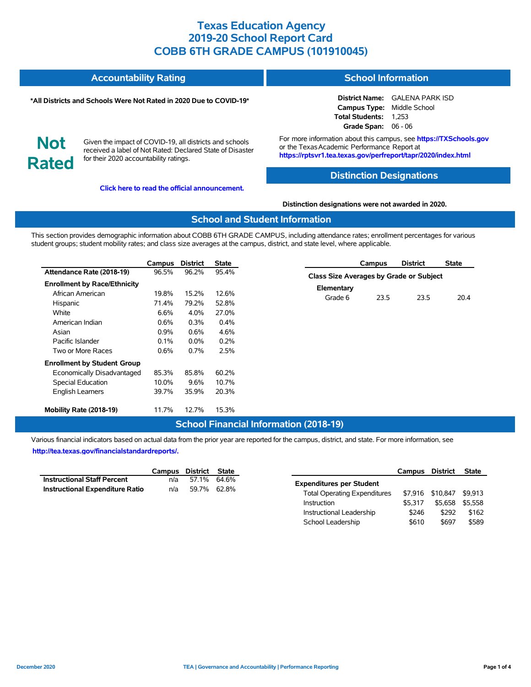| <b>Accountability Rating</b> | <b>School Information</b> |
|------------------------------|---------------------------|
|                              |                           |

#### **\*All Districts and Schools Were Not Rated in 2020 Due to COVID-19\***

### **District Name:** GALENA PARK ISD **Campus Type:** Middle School

**Not Rated**

Given the impact of COVID-19, all districts and schools received a label of Not Rated: Declared State of Disaster for their 2020 accountability ratings.

**[Click here to read the official announcement.](https://tea.texas.gov/about-tea/news-and-multimedia/correspondence/taa-letters/every-student-succeeds-act-essa-waiver-approval-2020-state-academic-accountability)**

For more information about this campus, see **https://TXSchools.gov** or the Texas Academic Performance Report at **https://rptsvr1.tea.texas.gov/perfreport/tapr/2020/index.html**

**Total Students:** 1,253 **Grade Span:** 06 - 06

#### **Distinction Designations**

#### **Distinction designations were not awarded in 2020.**

#### **School and Student Information**

This section provides demographic information about COBB 6TH GRADE CAMPUS, including attendance rates; enrollment percentages for various student groups; student mobility rates; and class size averages at the campus, district, and state level, where applicable.

|                                                                                                                                                   | Campus                                                    | <b>District</b>                                           | <b>State</b>                                               |                                         | Campus | <b>District</b> | <b>State</b> |
|---------------------------------------------------------------------------------------------------------------------------------------------------|-----------------------------------------------------------|-----------------------------------------------------------|------------------------------------------------------------|-----------------------------------------|--------|-----------------|--------------|
| Attendance Rate (2018-19)                                                                                                                         | 96.5%                                                     | 96.2%                                                     | 95.4%                                                      | Class Size Averages by Grade or Subject |        |                 |              |
| <b>Enrollment by Race/Ethnicity</b><br>African American<br>Hispanic<br>White<br>American Indian<br>Asian<br>Pacific Islander<br>Two or More Races | 19.8%<br>71.4%<br>6.6%<br>$0.6\%$<br>0.9%<br>0.1%<br>0.6% | 15.2%<br>79.2%<br>4.0%<br>0.3%<br>0.6%<br>$0.0\%$<br>0.7% | 12.6%<br>52.8%<br>27.0%<br>$0.4\%$<br>4.6%<br>0.2%<br>2.5% | Elementary<br>Grade 6                   | 23.5   | 23.5            | 20.4         |
| <b>Enrollment by Student Group</b><br>Economically Disadvantaged<br>Special Education<br><b>English Learners</b>                                  | 85.3%<br>10.0%<br>39.7%                                   | 85.8%<br>9.6%<br>35.9%                                    | 60.2%<br>10.7%<br>20.3%                                    |                                         |        |                 |              |
| Mobility Rate (2018-19)                                                                                                                           | 11.7%                                                     | 12.7%                                                     | 15.3%                                                      |                                         |        |                 |              |

### **School Financial Information (2018-19)**

Various financial indicators based on actual data from the prior year are reported for the campus, district, and state. For more information, see **[http://tea.texas.gov/financialstandardreports/.](http://tea.texas.gov/financialstandardreports/)**

|                                        | Campus District State |             |  |
|----------------------------------------|-----------------------|-------------|--|
| <b>Instructional Staff Percent</b>     | n/a                   | 57.1% 64.6% |  |
| <b>Instructional Expenditure Ratio</b> | n/a                   | 59.7% 62.8% |  |

|                                     | Campus District |          | <b>State</b> |
|-------------------------------------|-----------------|----------|--------------|
| <b>Expenditures per Student</b>     |                 |          |              |
| <b>Total Operating Expenditures</b> | \$7.916         | \$10,847 | \$9.913      |
| Instruction                         | \$5.317         | \$5.658  | \$5.558      |
| Instructional Leadership            | \$246           | \$292    | \$162        |
| School Leadership                   | \$610           | \$697    | \$589        |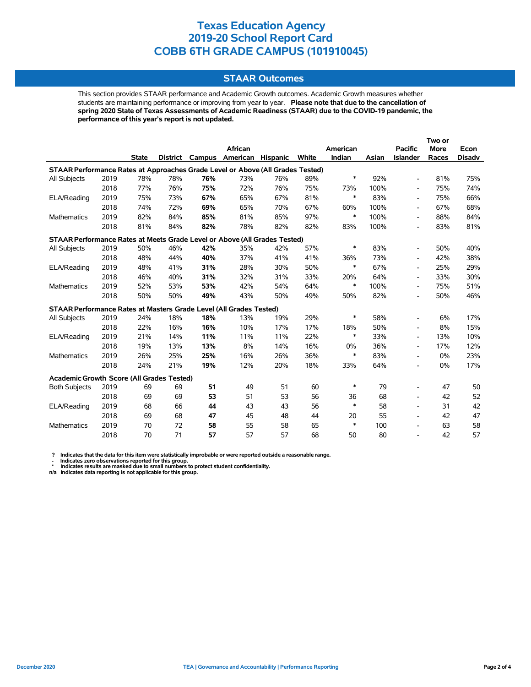### **STAAR Outcomes**

This section provides STAAR performance and Academic Growth outcomes. Academic Growth measures whether students are maintaining performance or improving from year to year. **Please note that due to the cancellation of spring 2020 State of Texas Assessments of Academic Readiness (STAAR) due to the COVID-19 pandemic, the performance of this year's report is not updated.**

|                                                                                |      |              |     |     |                                   |     |       |          |       |                          | Two or      |               |
|--------------------------------------------------------------------------------|------|--------------|-----|-----|-----------------------------------|-----|-------|----------|-------|--------------------------|-------------|---------------|
|                                                                                |      |              |     |     | African                           |     |       | American |       | <b>Pacific</b>           | <b>More</b> | Econ          |
|                                                                                |      | <b>State</b> |     |     | District Campus American Hispanic |     | White | Indian   | Asian | <b>Islander</b>          | Races       | <b>Disadv</b> |
| STAAR Performance Rates at Approaches Grade Level or Above (All Grades Tested) |      |              |     |     |                                   |     |       |          |       |                          |             |               |
| All Subjects                                                                   | 2019 | 78%          | 78% | 76% | 73%                               | 76% | 89%   | $\ast$   | 92%   | $\overline{\phantom{a}}$ | 81%         | 75%           |
|                                                                                | 2018 | 77%          | 76% | 75% | 72%                               | 76% | 75%   | 73%      | 100%  | $\overline{\phantom{a}}$ | 75%         | 74%           |
| ELA/Reading                                                                    | 2019 | 75%          | 73% | 67% | 65%                               | 67% | 81%   | $\ast$   | 83%   | $\overline{\phantom{a}}$ | 75%         | 66%           |
|                                                                                | 2018 | 74%          | 72% | 69% | 65%                               | 70% | 67%   | 60%      | 100%  | $\blacksquare$           | 67%         | 68%           |
| Mathematics                                                                    | 2019 | 82%          | 84% | 85% | 81%                               | 85% | 97%   | $\ast$   | 100%  | $\overline{\phantom{a}}$ | 88%         | 84%           |
|                                                                                | 2018 | 81%          | 84% | 82% | 78%                               | 82% | 82%   | 83%      | 100%  | $\overline{\phantom{a}}$ | 83%         | 81%           |
| STAAR Performance Rates at Meets Grade Level or Above (All Grades Tested)      |      |              |     |     |                                   |     |       |          |       |                          |             |               |
| All Subjects                                                                   | 2019 | 50%          | 46% | 42% | 35%                               | 42% | 57%   | $\ast$   | 83%   | $\blacksquare$           | 50%         | 40%           |
|                                                                                | 2018 | 48%          | 44% | 40% | 37%                               | 41% | 41%   | 36%      | 73%   | $\overline{\phantom{a}}$ | 42%         | 38%           |
| ELA/Reading                                                                    | 2019 | 48%          | 41% | 31% | 28%                               | 30% | 50%   | $\ast$   | 67%   | $\overline{\phantom{a}}$ | 25%         | 29%           |
|                                                                                | 2018 | 46%          | 40% | 31% | 32%                               | 31% | 33%   | 20%      | 64%   | $\overline{\phantom{a}}$ | 33%         | 30%           |
| <b>Mathematics</b>                                                             | 2019 | 52%          | 53% | 53% | 42%                               | 54% | 64%   | $\ast$   | 100%  | $\overline{\phantom{a}}$ | 75%         | 51%           |
|                                                                                | 2018 | 50%          | 50% | 49% | 43%                               | 50% | 49%   | 50%      | 82%   | $\overline{\phantom{a}}$ | 50%         | 46%           |
| STAAR Performance Rates at Masters Grade Level (All Grades Tested)             |      |              |     |     |                                   |     |       |          |       |                          |             |               |
| All Subjects                                                                   | 2019 | 24%          | 18% | 18% | 13%                               | 19% | 29%   | $\ast$   | 58%   | $\overline{\phantom{a}}$ | 6%          | 17%           |
|                                                                                | 2018 | 22%          | 16% | 16% | 10%                               | 17% | 17%   | 18%      | 50%   | $\overline{\phantom{a}}$ | 8%          | 15%           |
| ELA/Reading                                                                    | 2019 | 21%          | 14% | 11% | 11%                               | 11% | 22%   | $\ast$   | 33%   | $\overline{\phantom{a}}$ | 13%         | 10%           |
|                                                                                | 2018 | 19%          | 13% | 13% | 8%                                | 14% | 16%   | 0%       | 36%   | $\overline{\phantom{a}}$ | 17%         | 12%           |
| <b>Mathematics</b>                                                             | 2019 | 26%          | 25% | 25% | 16%                               | 26% | 36%   | $\ast$   | 83%   | $\overline{\phantom{a}}$ | 0%          | 23%           |
|                                                                                | 2018 | 24%          | 21% | 19% | 12%                               | 20% | 18%   | 33%      | 64%   | $\overline{\phantom{a}}$ | 0%          | 17%           |
| Academic Growth Score (All Grades Tested)                                      |      |              |     |     |                                   |     |       |          |       |                          |             |               |
| <b>Both Subjects</b>                                                           | 2019 | 69           | 69  | 51  | 49                                | 51  | 60    | $\ast$   | 79    | $\overline{\phantom{a}}$ | 47          | 50            |
|                                                                                | 2018 | 69           | 69  | 53  | 51                                | 53  | 56    | 36       | 68    | $\overline{\phantom{a}}$ | 42          | 52            |
| ELA/Reading                                                                    | 2019 | 68           | 66  | 44  | 43                                | 43  | 56    | $\ast$   | 58    | $\overline{\phantom{a}}$ | 31          | 42            |
|                                                                                | 2018 | 69           | 68  | 47  | 45                                | 48  | 44    | 20       | 55    | $\overline{\phantom{a}}$ | 42          | 47            |
| <b>Mathematics</b>                                                             | 2019 | 70           | 72  | 58  | 55                                | 58  | 65    | $\ast$   | 100   | $\overline{\phantom{a}}$ | 63          | 58            |
|                                                                                | 2018 | 70           | 71  | 57  | 57                                | 57  | 68    | 50       | 80    |                          | 42          | 57            |

? Indicates that the data for this item were statistically improbable or were reported outside a reasonable range.<br>- Indicates zero observations reported for this group.<br>\* Indicates results are masked due to small numbers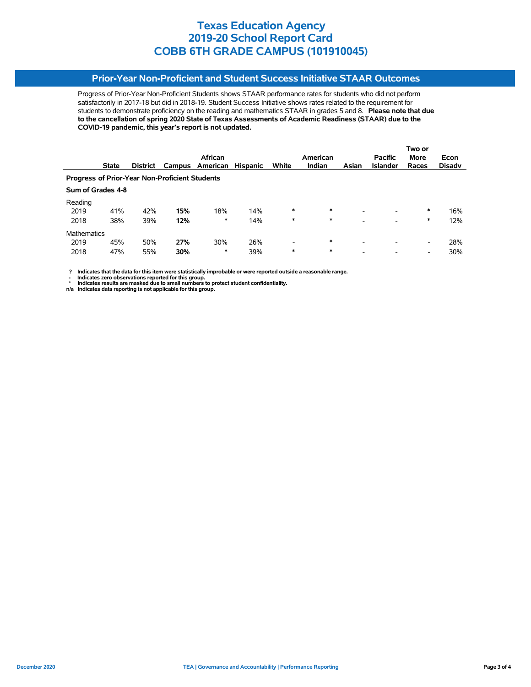### **Prior-Year Non-Proficient and Student Success Initiative STAAR Outcomes**

Progress of Prior-Year Non-Proficient Students shows STAAR performance rates for students who did not perform satisfactorily in 2017-18 but did in 2018-19. Student Success Initiative shows rates related to the requirement for students to demonstrate proficiency on the reading and mathematics STAAR in grades 5 and 8. **Please note that due to the cancellation of spring 2020 State of Texas Assessments of Academic Readiness (STAAR) due to the COVID-19 pandemic, this year's report is not updated.**

|                                                       |                   |                 |     |                 |                 |                          |               | Two or                   |                 |                          |               |  |  |
|-------------------------------------------------------|-------------------|-----------------|-----|-----------------|-----------------|--------------------------|---------------|--------------------------|-----------------|--------------------------|---------------|--|--|
|                                                       |                   |                 |     | African         |                 |                          | American      |                          | <b>Pacific</b>  | <b>More</b>              | Econ          |  |  |
|                                                       | <b>State</b>      | <b>District</b> |     | Campus American | <b>Hispanic</b> | White                    | <b>Indian</b> | Asian                    | <b>Islander</b> | Races                    | <b>Disady</b> |  |  |
| <b>Progress of Prior-Year Non-Proficient Students</b> |                   |                 |     |                 |                 |                          |               |                          |                 |                          |               |  |  |
|                                                       | Sum of Grades 4-8 |                 |     |                 |                 |                          |               |                          |                 |                          |               |  |  |
| Reading                                               |                   |                 |     |                 |                 |                          |               |                          |                 |                          |               |  |  |
| 2019                                                  | 41%               | 42%             | 15% | 18%             | 14%             | $\ast$                   | $\ast$        | $\overline{\phantom{a}}$ | -               | ∗                        | 16%           |  |  |
| 2018                                                  | 38%               | 39%             | 12% | *               | 14%             | *                        | $\ast$        | -                        | -               | *                        | 12%           |  |  |
| <b>Mathematics</b>                                    |                   |                 |     |                 |                 |                          |               |                          |                 |                          |               |  |  |
| 2019                                                  | 45%               | 50%             | 27% | 30%             | 26%             | $\overline{\phantom{a}}$ | $\ast$        | $\overline{\phantom{0}}$ | -               | $\overline{\phantom{0}}$ | 28%           |  |  |
| 2018                                                  | 47%               | 55%             | 30% | $\ast$          | 39%             | $\ast$                   | $\ast$        | -                        | -               | -                        | 30%           |  |  |

 **? Indicates that the data for this item were statistically improbable or were reported outside a reasonable range.**

**1.** Indicates zero observations reported for this group.<br> **1.** Indicates zero the sex mealed for this group.

 **\* Indicates results are masked due to small numbers to protect student confidentiality. n/a Indicates data reporting is not applicable for this group.**